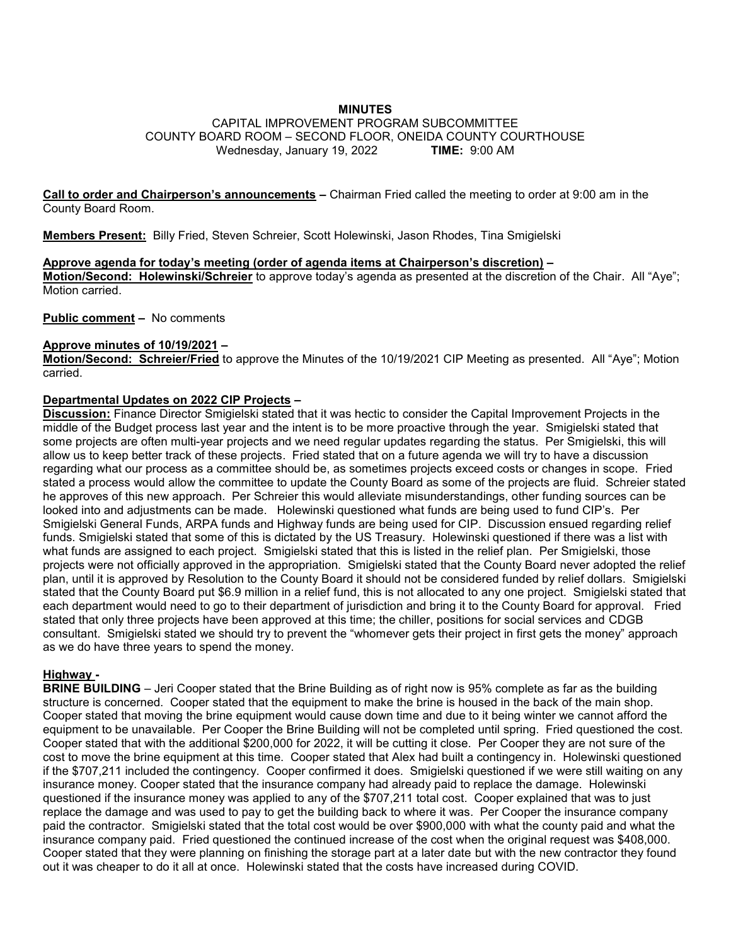## **MINUTES**

### CAPITAL IMPROVEMENT PROGRAM SUBCOMMITTEE COUNTY BOARD ROOM – SECOND FLOOR, ONEIDA COUNTY COURTHOUSE Wednesday, January 19, 2022 **TIME:** 9:00 AM

**Call to order and Chairperson's announcements –** Chairman Fried called the meeting to order at 9:00 am in the County Board Room.

**Members Present:** Billy Fried, Steven Schreier, Scott Holewinski, Jason Rhodes, Tina Smigielski

### **Approve agenda for today's meeting (order of agenda items at Chairperson's discretion) –**

**Motion/Second: Holewinski/Schreier** to approve today's agenda as presented at the discretion of the Chair. All "Aye"; Motion carried.

**Public comment –** No comments

#### **Approve minutes of 10/19/2021 –**

**Motion/Second: Schreier/Fried** to approve the Minutes of the 10/19/2021 CIP Meeting as presented. All "Aye"; Motion carried.

### **Departmental Updates on 2022 CIP Projects –**

**Discussion:** Finance Director Smigielski stated that it was hectic to consider the Capital Improvement Projects in the middle of the Budget process last year and the intent is to be more proactive through the year. Smigielski stated that some projects are often multi-year projects and we need regular updates regarding the status. Per Smigielski, this will allow us to keep better track of these projects. Fried stated that on a future agenda we will try to have a discussion regarding what our process as a committee should be, as sometimes projects exceed costs or changes in scope. Fried stated a process would allow the committee to update the County Board as some of the projects are fluid. Schreier stated he approves of this new approach. Per Schreier this would alleviate misunderstandings, other funding sources can be looked into and adjustments can be made. Holewinski questioned what funds are being used to fund CIP's. Per Smigielski General Funds, ARPA funds and Highway funds are being used for CIP. Discussion ensued regarding relief funds. Smigielski stated that some of this is dictated by the US Treasury. Holewinski questioned if there was a list with what funds are assigned to each project. Smigielski stated that this is listed in the relief plan. Per Smigielski, those projects were not officially approved in the appropriation. Smigielski stated that the County Board never adopted the relief plan, until it is approved by Resolution to the County Board it should not be considered funded by relief dollars. Smigielski stated that the County Board put \$6.9 million in a relief fund, this is not allocated to any one project. Smigielski stated that each department would need to go to their department of jurisdiction and bring it to the County Board for approval. Fried stated that only three projects have been approved at this time; the chiller, positions for social services and CDGB consultant. Smigielski stated we should try to prevent the "whomever gets their project in first gets the money" approach as we do have three years to spend the money.

# **Highway -**

**BRINE BUILDING** – Jeri Cooper stated that the Brine Building as of right now is 95% complete as far as the building structure is concerned. Cooper stated that the equipment to make the brine is housed in the back of the main shop. Cooper stated that moving the brine equipment would cause down time and due to it being winter we cannot afford the equipment to be unavailable. Per Cooper the Brine Building will not be completed until spring. Fried questioned the cost. Cooper stated that with the additional \$200,000 for 2022, it will be cutting it close. Per Cooper they are not sure of the cost to move the brine equipment at this time. Cooper stated that Alex had built a contingency in. Holewinski questioned if the \$707,211 included the contingency. Cooper confirmed it does. Smigielski questioned if we were still waiting on any insurance money. Cooper stated that the insurance company had already paid to replace the damage. Holewinski questioned if the insurance money was applied to any of the \$707,211 total cost. Cooper explained that was to just replace the damage and was used to pay to get the building back to where it was. Per Cooper the insurance company paid the contractor. Smigielski stated that the total cost would be over \$900,000 with what the county paid and what the insurance company paid. Fried questioned the continued increase of the cost when the original request was \$408,000. Cooper stated that they were planning on finishing the storage part at a later date but with the new contractor they found out it was cheaper to do it all at once. Holewinski stated that the costs have increased during COVID.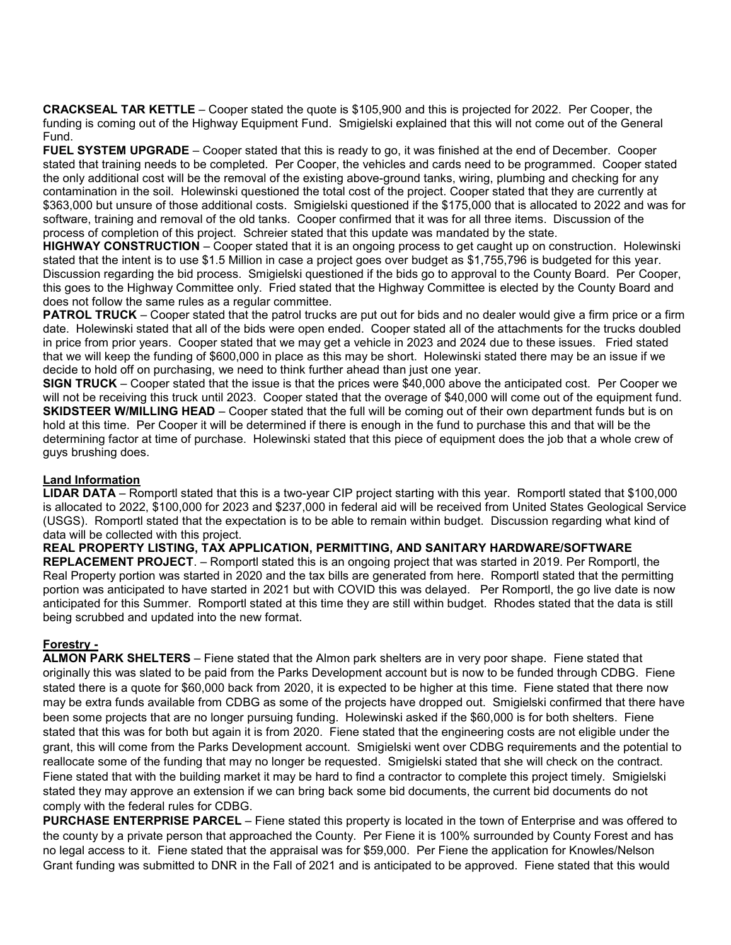**CRACKSEAL TAR KETTLE** – Cooper stated the quote is \$105,900 and this is projected for 2022. Per Cooper, the funding is coming out of the Highway Equipment Fund. Smigielski explained that this will not come out of the General Fund.

**FUEL SYSTEM UPGRADE** – Cooper stated that this is ready to go, it was finished at the end of December. Cooper stated that training needs to be completed. Per Cooper, the vehicles and cards need to be programmed. Cooper stated the only additional cost will be the removal of the existing above-ground tanks, wiring, plumbing and checking for any contamination in the soil. Holewinski questioned the total cost of the project. Cooper stated that they are currently at \$363,000 but unsure of those additional costs. Smigielski questioned if the \$175,000 that is allocated to 2022 and was for software, training and removal of the old tanks. Cooper confirmed that it was for all three items. Discussion of the process of completion of this project. Schreier stated that this update was mandated by the state.

**HIGHWAY CONSTRUCTION** – Cooper stated that it is an ongoing process to get caught up on construction. Holewinski stated that the intent is to use \$1.5 Million in case a project goes over budget as \$1,755,796 is budgeted for this year. Discussion regarding the bid process. Smigielski questioned if the bids go to approval to the County Board. Per Cooper, this goes to the Highway Committee only. Fried stated that the Highway Committee is elected by the County Board and does not follow the same rules as a regular committee.

**PATROL TRUCK** – Cooper stated that the patrol trucks are put out for bids and no dealer would give a firm price or a firm date. Holewinski stated that all of the bids were open ended. Cooper stated all of the attachments for the trucks doubled in price from prior years. Cooper stated that we may get a vehicle in 2023 and 2024 due to these issues. Fried stated that we will keep the funding of \$600,000 in place as this may be short. Holewinski stated there may be an issue if we decide to hold off on purchasing, we need to think further ahead than just one year.

**SIGN TRUCK** – Cooper stated that the issue is that the prices were \$40,000 above the anticipated cost. Per Cooper we will not be receiving this truck until 2023. Cooper stated that the overage of \$40,000 will come out of the equipment fund. **SKIDSTEER W/MILLING HEAD** – Cooper stated that the full will be coming out of their own department funds but is on hold at this time. Per Cooper it will be determined if there is enough in the fund to purchase this and that will be the determining factor at time of purchase. Holewinski stated that this piece of equipment does the job that a whole crew of guys brushing does.

# **Land Information**

**LIDAR DATA** – Romportl stated that this is a two-year CIP project starting with this year. Romportl stated that \$100,000 is allocated to 2022, \$100,000 for 2023 and \$237,000 in federal aid will be received from United States Geological Service (USGS). Romportl stated that the expectation is to be able to remain within budget. Discussion regarding what kind of data will be collected with this project.

## **REAL PROPERTY LISTING, TAX APPLICATION, PERMITTING, AND SANITARY HARDWARE/SOFTWARE**

**REPLACEMENT PROJECT**. – Romportl stated this is an ongoing project that was started in 2019. Per Romportl, the Real Property portion was started in 2020 and the tax bills are generated from here. Romportl stated that the permitting portion was anticipated to have started in 2021 but with COVID this was delayed. Per Romportl, the go live date is now anticipated for this Summer. Romportl stated at this time they are still within budget. Rhodes stated that the data is still being scrubbed and updated into the new format.

### **Forestry -**

**ALMON PARK SHELTERS** – Fiene stated that the Almon park shelters are in very poor shape. Fiene stated that originally this was slated to be paid from the Parks Development account but is now to be funded through CDBG. Fiene stated there is a quote for \$60,000 back from 2020, it is expected to be higher at this time. Fiene stated that there now may be extra funds available from CDBG as some of the projects have dropped out. Smigielski confirmed that there have been some projects that are no longer pursuing funding. Holewinski asked if the \$60,000 is for both shelters. Fiene stated that this was for both but again it is from 2020. Fiene stated that the engineering costs are not eligible under the grant, this will come from the Parks Development account. Smigielski went over CDBG requirements and the potential to reallocate some of the funding that may no longer be requested. Smigielski stated that she will check on the contract. Fiene stated that with the building market it may be hard to find a contractor to complete this project timely. Smigielski stated they may approve an extension if we can bring back some bid documents, the current bid documents do not comply with the federal rules for CDBG.

**PURCHASE ENTERPRISE PARCEL** – Fiene stated this property is located in the town of Enterprise and was offered to the county by a private person that approached the County. Per Fiene it is 100% surrounded by County Forest and has no legal access to it. Fiene stated that the appraisal was for \$59,000. Per Fiene the application for Knowles/Nelson Grant funding was submitted to DNR in the Fall of 2021 and is anticipated to be approved. Fiene stated that this would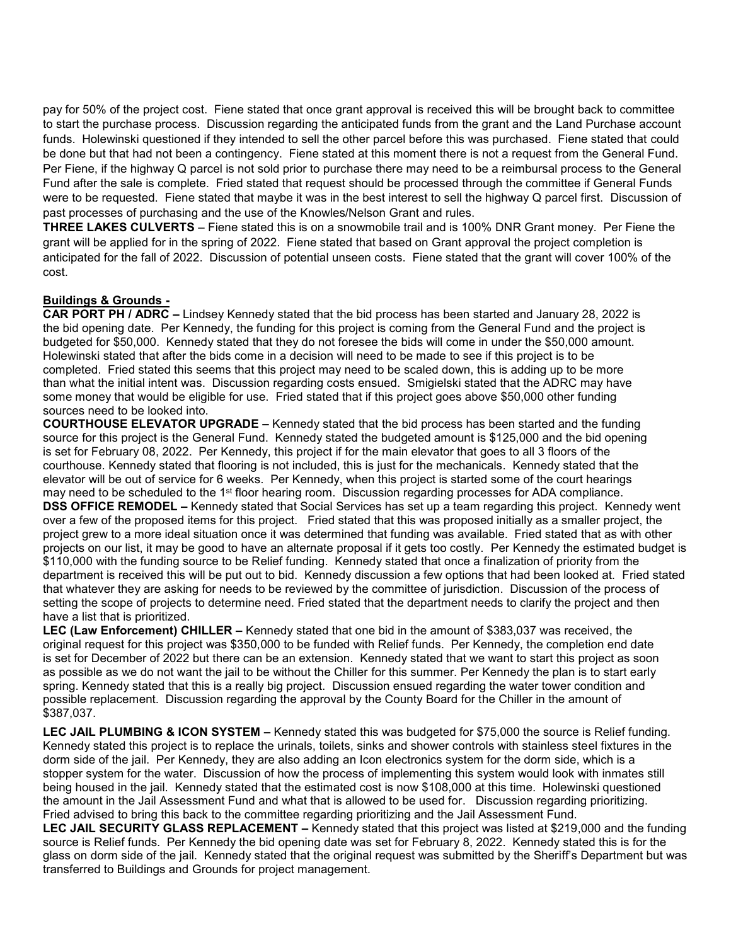pay for 50% of the project cost. Fiene stated that once grant approval is received this will be brought back to committee to start the purchase process. Discussion regarding the anticipated funds from the grant and the Land Purchase account funds. Holewinski questioned if they intended to sell the other parcel before this was purchased. Fiene stated that could be done but that had not been a contingency. Fiene stated at this moment there is not a request from the General Fund. Per Fiene, if the highway Q parcel is not sold prior to purchase there may need to be a reimbursal process to the General Fund after the sale is complete. Fried stated that request should be processed through the committee if General Funds were to be requested. Fiene stated that maybe it was in the best interest to sell the highway Q parcel first. Discussion of past processes of purchasing and the use of the Knowles/Nelson Grant and rules.

**THREE LAKES CULVERTS** – Fiene stated this is on a snowmobile trail and is 100% DNR Grant money. Per Fiene the grant will be applied for in the spring of 2022. Fiene stated that based on Grant approval the project completion is anticipated for the fall of 2022. Discussion of potential unseen costs. Fiene stated that the grant will cover 100% of the cost.

## **Buildings & Grounds -**

**CAR PORT PH / ADRC –** Lindsey Kennedy stated that the bid process has been started and January 28, 2022 is the bid opening date. Per Kennedy, the funding for this project is coming from the General Fund and the project is budgeted for \$50,000. Kennedy stated that they do not foresee the bids will come in under the \$50,000 amount. Holewinski stated that after the bids come in a decision will need to be made to see if this project is to be completed. Fried stated this seems that this project may need to be scaled down, this is adding up to be more than what the initial intent was. Discussion regarding costs ensued. Smigielski stated that the ADRC may have some money that would be eligible for use. Fried stated that if this project goes above \$50,000 other funding sources need to be looked into.

**COURTHOUSE ELEVATOR UPGRADE –** Kennedy stated that the bid process has been started and the funding source for this project is the General Fund. Kennedy stated the budgeted amount is \$125,000 and the bid opening is set for February 08, 2022. Per Kennedy, this project if for the main elevator that goes to all 3 floors of the courthouse. Kennedy stated that flooring is not included, this is just for the mechanicals. Kennedy stated that the elevator will be out of service for 6 weeks. Per Kennedy, when this project is started some of the court hearings may need to be scheduled to the 1<sup>st</sup> floor hearing room. Discussion regarding processes for ADA compliance. **DSS OFFICE REMODEL –** Kennedy stated that Social Services has set up a team regarding this project. Kennedy went over a few of the proposed items for this project. Fried stated that this was proposed initially as a smaller project, the project grew to a more ideal situation once it was determined that funding was available. Fried stated that as with other projects on our list, it may be good to have an alternate proposal if it gets too costly. Per Kennedy the estimated budget is \$110,000 with the funding source to be Relief funding. Kennedy stated that once a finalization of priority from the department is received this will be put out to bid. Kennedy discussion a few options that had been looked at. Fried stated that whatever they are asking for needs to be reviewed by the committee of jurisdiction. Discussion of the process of setting the scope of projects to determine need. Fried stated that the department needs to clarify the project and then have a list that is prioritized.

 **LEC (Law Enforcement) CHILLER –** Kennedy stated that one bid in the amount of \$383,037 was received, the original request for this project was \$350,000 to be funded with Relief funds. Per Kennedy, the completion end date is set for December of 2022 but there can be an extension. Kennedy stated that we want to start this project as soon as possible as we do not want the jail to be without the Chiller for this summer. Per Kennedy the plan is to start early spring. Kennedy stated that this is a really big project. Discussion ensued regarding the water tower condition and possible replacement. Discussion regarding the approval by the County Board for the Chiller in the amount of \$387,037.

**LEC JAIL PLUMBING & ICON SYSTEM –** Kennedy stated this was budgeted for \$75,000 the source is Relief funding. Kennedy stated this project is to replace the urinals, toilets, sinks and shower controls with stainless steel fixtures in the dorm side of the jail. Per Kennedy, they are also adding an Icon electronics system for the dorm side, which is a stopper system for the water. Discussion of how the process of implementing this system would look with inmates still being housed in the jail. Kennedy stated that the estimated cost is now \$108,000 at this time. Holewinski questioned the amount in the Jail Assessment Fund and what that is allowed to be used for. Discussion regarding prioritizing. Fried advised to bring this back to the committee regarding prioritizing and the Jail Assessment Fund.

**LEC JAIL SECURITY GLASS REPLACEMENT –** Kennedy stated that this project was listed at \$219,000 and the funding source is Relief funds. Per Kennedy the bid opening date was set for February 8, 2022. Kennedy stated this is for the glass on dorm side of the jail. Kennedy stated that the original request was submitted by the Sheriff's Department but was transferred to Buildings and Grounds for project management.